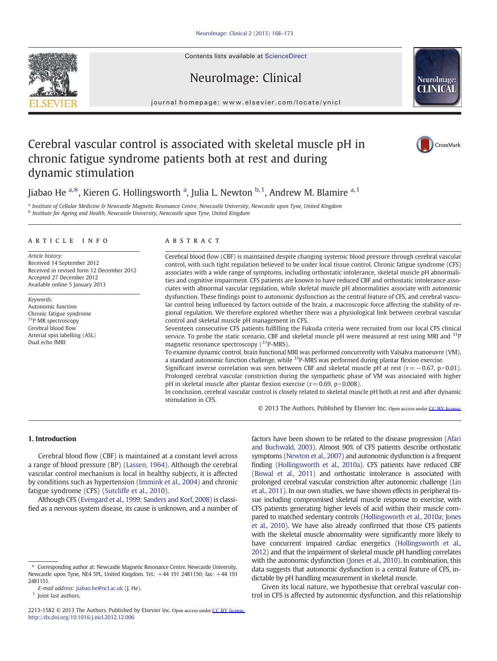Contents lists available at ScienceDirect

# NeuroImage: Clinical

journal homepage: www.elsevier.com/locate/ynicl

# Cerebral vascular control is associated with skeletal muscle pH in chronic fatigue syndrome patients both at rest and during dynamic stimulation

Jiabao He <sup>a,\*</sup>, Kieren G. Hollingsworth <sup>a</sup>, Julia L. Newton <sup>b, 1</sup>, Andrew M. Blamire <sup>a, 1</sup>

a Institute of Cellular Medicine & Newcastle Magnetic Resonance Centre, Newcastle University, Newcastle upon Tyne, United Kingdom <sup>b</sup> Institute for Ageing and Health, Newcastle University, Newcastle upon Tyne, United Kingdom

# article info abstract

Article history: Received 14 September 2012 Received in revised form 12 December 2012 Accepted 27 December 2012 Available online 5 January 2013

Keywords: Autonomic function Chronic fatigue syndrome <sup>31</sup>P MR spectroscopy Cerebral blood flow Arterial spin labelling (ASL) Dual echo fMRI

Cerebral blood flow (CBF) is maintained despite changing systemic blood pressure through cerebral vascular control, with such tight regulation believed to be under local tissue control. Chronic fatigue syndrome (CFS) associates with a wide range of symptoms, including orthostatic intolerance, skeletal muscle pH abnormalities and cognitive impairment. CFS patients are known to have reduced CBF and orthostatic intolerance associates with abnormal vascular regulation, while skeletal muscle pH abnormalities associate with autonomic dysfunction. These findings point to autonomic dysfunction as the central feature of CFS, and cerebral vascular control being influenced by factors outside of the brain, a macroscopic force affecting the stability of regional regulation. We therefore explored whether there was a physiological link between cerebral vascular control and skeletal muscle pH management in CFS.

Seventeen consecutive CFS patients fulfilling the Fukuda criteria were recruited from our local CFS clinical service. To probe the static scenario, CBF and skeletal muscle pH were measured at rest using MRI and  $31P$ magnetic resonance spectroscopy  $(^{31}P-MRS)$ .

To examine dynamic control, brain functional MRI was performed concurrently with Valsalva manoeuvre (VM), a standard autonomic function challenge, while <sup>31</sup>P-MRS was performed during plantar flexion exercise.

Significant inverse correlation was seen between CBF and skeletal muscle pH at rest ( $r = -0.67$ , p<0.01). Prolonged cerebral vascular constriction during the sympathetic phase of VM was associated with higher pH in skeletal muscle after plantar flexion exercise ( $r=0.69$ ,  $p<0.008$ ).

In conclusion, cerebral vascular control is closely related to skeletal muscle pH both at rest and after dynamic stimulation in CFS.

© 2013 The Authors. Published by Elsevier Inc. Open access under [CC BY license.](http://creativecommons.org/licenses/by/3.0/)

# 1. Introduction

Cerebral blood flow (CBF) is maintained at a constant level across a range of blood pressure (BP) [\(Lassen, 1964\)](#page-5-0). Although the cerebral vascular control mechanism is local in healthy subjects, it is affected by conditions such as hypertension ([Immink et al., 2004\)](#page-5-0) and chronic fatigue syndrome (CFS) ([Sutcliffe et al., 2010\)](#page-5-0).

Although CFS ([Evengard et al., 1999; Sanders and Korf, 2008](#page-4-0)) is classified as a nervous system disease, its cause is unknown, and a number of factors have been shown to be related to the disease progression [\(Afari](#page-4-0) [and Buchwald, 2003\)](#page-4-0). Almost 90% of CFS patients describe orthostatic symptoms [\(Newton et al., 2007](#page-5-0)) and autonomic dysfunction is a frequent finding [\(Hollingsworth et al., 2010a](#page-5-0)). CFS patients have reduced CBF [\(Biswal et al., 2011](#page-4-0)) and orthostatic intolerance is associated with prolonged cerebral vascular constriction after autonomic challenge [\(Lin](#page-5-0) [et al., 2011](#page-5-0)). In our own studies, we have shown effects in peripheral tissue including compromised skeletal muscle response to exercise, with CFS patients generating higher levels of acid within their muscle compared to matched sedentary controls ([Hollingsworth et al., 2010a; Jones](#page-5-0) [et al., 2010\)](#page-5-0). We have also already confirmed that those CFS patients with the skeletal muscle abnormality were significantly more likely to have concurrent impaired cardiac energetics ([Hollingsworth et al.,](#page-5-0) [2012](#page-5-0)) and that the impairment of skeletal muscle pH handling correlates with the autonomic dysfunction ([Jones et al., 2010\)](#page-5-0). In combination, this data suggests that autonomic dysfunction is a central feature of CFS, indictable by pH handling measurement in skeletal muscle.

Given its local nature, we hypothesise that cerebral vascular control in CFS is affected by autonomic dysfunction, and this relationship





CrossMark

<sup>⁎</sup> Corresponding author at: Newcastle Magnetic Resonance Centre, Newcastle University, Newcastle upon Tyne, NE4 5PL, United Kingdom. Tel.: +44 191 2481150; fax: +44 191 2481151.

E-mail address: [jiabao.he@ncl.ac.uk](mailto:jiabao.he@ncl.ac.uk) (J. He).

<sup>&</sup>lt;sup>1</sup> Joint last authors.

<sup>2213-1582 © 2013</sup> The Authors. Published by Elsevier Inc. Open access under [CC BY license.](http://creativecommons.org/licenses/by/3.0/)<http://dx.doi.org/10.1016/j.nicl.2012.12.006>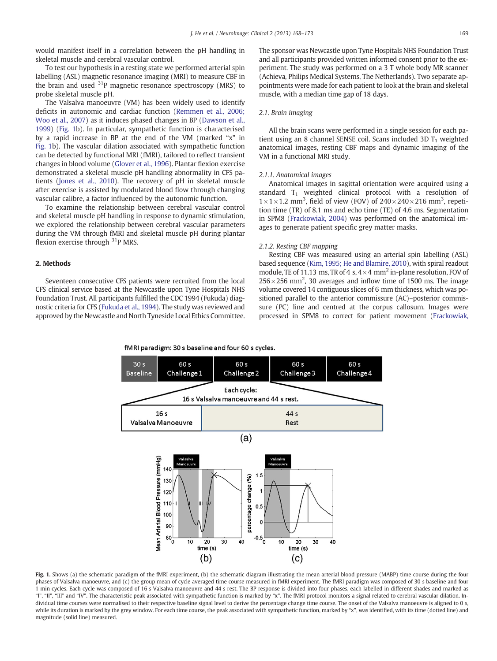<span id="page-1-0"></span>would manifest itself in a correlation between the pH handling in skeletal muscle and cerebral vascular control.

To test our hypothesis in a resting state we performed arterial spin labelling (ASL) magnetic resonance imaging (MRI) to measure CBF in the brain and used 31P magnetic resonance spectroscopy (MRS) to probe skeletal muscle pH.

The Valsalva manoeuvre (VM) has been widely used to identify deficits in autonomic and cardiac function [\(Remmen et al., 2006;](#page-5-0) [Woo et al., 2007\)](#page-5-0) as it induces phased changes in BP [\(Dawson et al.,](#page-4-0) [1999\)](#page-4-0) (Fig. 1b). In particular, sympathetic function is characterised by a rapid increase in BP at the end of the VM (marked "x" in Fig. 1b). The vascular dilation associated with sympathetic function can be detected by functional MRI (fMRI), tailored to reflect transient changes in blood volume ([Glover et al., 1996](#page-4-0)). Plantar flexion exercise demonstrated a skeletal muscle pH handling abnormality in CFS patients ([Jones et al., 2010](#page-5-0)). The recovery of pH in skeletal muscle after exercise is assisted by modulated blood flow through changing vascular calibre, a factor influenced by the autonomic function.

To examine the relationship between cerebral vascular control and skeletal muscle pH handling in response to dynamic stimulation, we explored the relationship between cerebral vascular parameters during the VM through fMRI and skeletal muscle pH during plantar flexion exercise through  $31P$  MRS.

# 2. Methods

Seventeen consecutive CFS patients were recruited from the local CFS clinical service based at the Newcastle upon Tyne Hospitals NHS Foundation Trust. All participants fulfilled the CDC 1994 (Fukuda) diagnostic criteria for CFS ([Fukuda et al., 1994\)](#page-4-0). The study was reviewed and approved by the Newcastle and North Tyneside Local Ethics Committee. The sponsor was Newcastle upon Tyne Hospitals NHS Foundation Trust and all participants provided written informed consent prior to the experiment. The study was performed on a 3 T whole body MR scanner (Achieva, Philips Medical Systems, The Netherlands). Two separate appointments were made for each patient to look at the brain and skeletal muscle, with a median time gap of 18 days.

## 2.1. Brain imaging

All the brain scans were performed in a single session for each patient using an 8 channel SENSE coil. Scans included 3D  $T_1$  weighted anatomical images, resting CBF maps and dynamic imaging of the VM in a functional MRI study.

#### 2.1.1. Anatomical images

Anatomical images in sagittal orientation were acquired using a standard  $T_1$  weighted clinical protocol with a resolution of  $1 \times 1 \times 1.2$  mm<sup>3</sup>, field of view (FOV) of  $240 \times 240 \times 216$  mm<sup>3</sup>, repetition time (TR) of 8.1 ms and echo time (TE) of 4.6 ms. Segmentation in SPM8 ([Frackowiak, 2004](#page-4-0)) was performed on the anatomical images to generate patient specific grey matter masks.

#### 2.1.2. Resting CBF mapping

Resting CBF was measured using an arterial spin labelling (ASL) based sequence [\(Kim, 1995; He and Blamire, 2010](#page-5-0)), with spiral readout module, TE of 11.13 ms, TR of 4 s,  $4 \times 4$  mm<sup>2</sup> in-plane resolution, FOV of  $256\times256$  mm<sup>2</sup>, 30 averages and inflow time of 1500 ms. The image volume covered 14 contiguous slices of 6 mm thickness, which was positioned parallel to the anterior commissure (AC)–posterior commissure (PC) line and centred at the corpus callosum. Images were processed in SPM8 to correct for patient movement [\(Frackowiak,](#page-4-0)

fMRI paradigm: 30 s baseline and four 60 s cycles.



Fig. 1. Shows (a) the schematic paradigm of the fMRI experiment, (b) the schematic diagram illustrating the mean arterial blood pressure (MABP) time course during the four phases of Valsalva manoeuvre, and (c) the group mean of cycle averaged time course measured in fMRI experiment. The fMRI paradigm was composed of 30 s baseline and four 1 min cycles. Each cycle was composed of 16 s Valsalva manoeuvre and 44 s rest. The BP response is divided into four phases, each labelled in different shades and marked as "I", "II", "III" and "IV". The characteristic peak associated with sympathetic function is marked by "x". The fMRI protocol monitors a signal related to cerebral vascular dilation. Individual time courses were normalised to their respective baseline signal level to derive the percentage change time course. The onset of the Valsalva manoeuvre is aligned to 0 s, while its duration is marked by the grey window. For each time course, the peak associated with sympathetic function, marked by "x", was identified, with its time (dotted line) and magnitude (solid line) measured.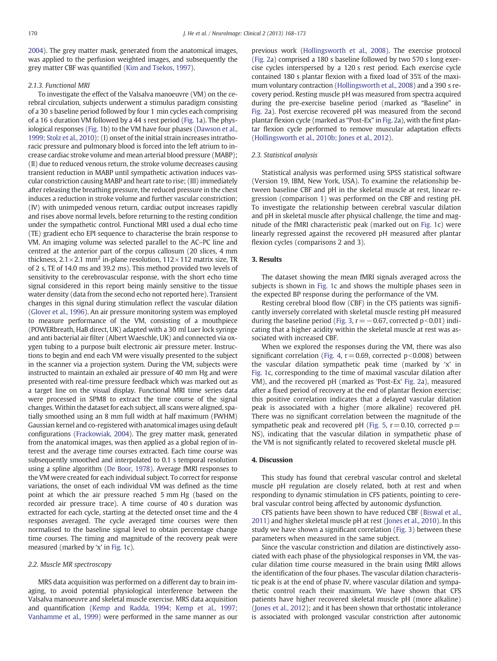[2004\)](#page-4-0). The grey matter mask, generated from the anatomical images, was applied to the perfusion weighted images, and subsequently the grey matter CBF was quantified [\(Kim and Tsekos, 1997\)](#page-5-0).

### 2.1.3. Functional MRI

To investigate the effect of the Valsalva manoeuvre (VM) on the cerebral circulation, subjects underwent a stimulus paradigm consisting of a 30 s baseline period followed by four 1 min cycles each comprising of a 16 s duration VM followed by a 44 s rest period ([Fig. 1a](#page-1-0)). The physiological responses ([Fig. 1](#page-1-0)b) to the VM have four phases ([Dawson et al.,](#page-4-0) [1999; Stolz et al., 2010\)](#page-4-0): (I) onset of the initial strain increases intrathoracic pressure and pulmonary blood is forced into the left atrium to increase cardiac stroke volume and mean arterial blood pressure (MABP); (II) due to reduced venous return, the stroke volume decreases causing transient reduction in MABP until sympathetic activation induces vascular constriction causing MABP and heart rate to rise; (III) immediately after releasing the breathing pressure, the reduced pressure in the chest induces a reduction in stroke volume and further vascular constriction; (IV) with unimpeded venous return, cardiac output increases rapidly and rises above normal levels, before returning to the resting condition under the sympathetic control. Functional MRI used a dual echo time (TE) gradient echo EPI sequence to characterise the brain response to VM. An imaging volume was selected parallel to the AC–PC line and centred at the anterior part of the corpus callosum (20 slices, 4 mm thickness,  $2.1 \times 2.1$  mm<sup>2</sup> in-plane resolution,  $112 \times 112$  matrix size, TR of 2 s, TE of 14.0 ms and 39.2 ms). This method provided two levels of sensitivity to the cerebrovascular response, with the short echo time signal considered in this report being mainly sensitive to the tissue water density (data from the second echo not reported here). Transient changes in this signal during stimulation reflect the vascular dilation [\(Glover et al., 1996](#page-4-0)). An air pressure monitoring system was employed to measure performance of the VM, consisting of a mouthpiece (POWERbreath, HaB direct, UK) adapted with a 30 ml Luer lock syringe and anti bacterial air filter (Albert Waeschle, UK) and connected via oxygen tubing to a purpose built electronic air pressure meter. Instructions to begin and end each VM were visually presented to the subject in the scanner via a projection system. During the VM, subjects were instructed to maintain an exhaled air pressure of 40 mm Hg and were presented with real-time pressure feedback which was marked out as a target line on the visual display. Functional MRI time series data were processed in SPM8 to extract the time course of the signal changes.Within the dataset for each subject, all scans were aligned, spatially smoothed using an 8 mm full width at half maximum (FWHM) Gaussian kernel and co-registered with anatomical images using default configurations [\(Frackowiak, 2004\)](#page-4-0). The grey matter mask, generated from the anatomical images, was then applied as a global region of interest and the average time courses extracted. Each time course was subsequently smoothed and interpolated to 0.1 s temporal resolution using a spline algorithm [\(De Boor, 1978\)](#page-4-0). Average fMRI responses to the VM were created for each individual subject. To correct for response variations, the onset of each individual VM was defined as the time point at which the air pressure reached 5 mm Hg (based on the recorded air pressure trace). A time course of 40 s duration was extracted for each cycle, starting at the detected onset time and the 4 responses averaged. The cycle averaged time courses were then normalised to the baseline signal level to obtain percentage change time courses. The timing and magnitude of the recovery peak were measured (marked by 'x' in [Fig. 1](#page-1-0)c).

#### 2.2. Muscle MR spectroscopy

MRS data acquisition was performed on a different day to brain imaging, to avoid potential physiological interference between the Valsalva manoeuvre and skeletal muscle exercise. MRS data acquisition and quantification ([Kemp and Radda, 1994; Kemp et al., 1997;](#page-5-0) [Vanhamme et al., 1999\)](#page-5-0) were performed in the same manner as our previous work [\(Hollingsworth et al., 2008](#page-5-0)). The exercise protocol [\(Fig. 2](#page-3-0)a) comprised a 180 s baseline followed by two 570 s long exercise cycles interspersed by a 120 s rest period. Each exercise cycle contained 180 s plantar flexion with a fixed load of 35% of the maximum voluntary contraction [\(Hollingsworth et al., 2008](#page-5-0)) and a 390 s recovery period. Resting muscle pH was measured from spectra acquired during the pre-exercise baseline period (marked as "Baseline" in [Fig. 2a](#page-3-0)). Post exercise recovered pH was measured from the second plantar flexion cycle (marked as "Post-Ex" in [Fig. 2a](#page-3-0)), with the first plantar flexion cycle performed to remove muscular adaptation effects [\(Hollingsworth et al., 2010b; Jones et al., 2012\)](#page-5-0).

# 2.3. Statistical analysis

Statistical analysis was performed using SPSS statistical software (Version 19, IBM, New York, USA). To examine the relationship between baseline CBF and pH in the skeletal muscle at rest, linear regression (comparison 1) was performed on the CBF and resting pH. To investigate the relationship between cerebral vascular dilation and pH in skeletal muscle after physical challenge, the time and magnitude of the fMRI characteristic peak (marked out on [Fig. 1c](#page-1-0)) were linearly regressed against the recovered pH measured after plantar flexion cycles (comparisons 2 and 3).

# 3. Results

The dataset showing the mean fMRI signals averaged across the subjects is shown in [Fig. 1](#page-1-0)c and shows the multiple phases seen in the expected BP response during the performance of the VM.

Resting cerebral blood flow (CBF) in the CFS patients was significantly inversely correlated with skeletal muscle resting pH measured during the baseline period [\(Fig. 3](#page-3-0),  $r = -0.67$ , corrected p<0.01) indicating that a higher acidity within the skeletal muscle at rest was associated with increased CBF.

When we explored the responses during the VM, there was also significant correlation [\(Fig. 4](#page-3-0),  $r=0.69$ , corrected  $p<0.008$ ) between the vascular dilation sympathetic peak time (marked by 'x' in [Fig. 1](#page-1-0)c, corresponding to the time of maximal vascular dilation after VM), and the recovered pH (marked as 'Post-Ex' [Fig. 2a](#page-3-0)), measured after a fixed period of recovery at the end of plantar flexion exercise; this positive correlation indicates that a delayed vascular dilation peak is associated with a higher (more alkaline) recovered pH. There was no significant correlation between the magnitude of the sympathetic peak and recovered pH ([Fig. 5,](#page-4-0)  $r = 0.10$ , corrected  $p =$ NS), indicating that the vascular dilation in sympathetic phase of the VM is not significantly related to recovered skeletal muscle pH.

### 4. Discussion

This study has found that cerebral vascular control and skeletal muscle pH regulation are closely related, both at rest and when responding to dynamic stimulation in CFS patients, pointing to cerebral vascular control being affected by autonomic dysfunction.

CFS patients have been shown to have reduced CBF [\(Biswal et al.,](#page-4-0) [2011\)](#page-4-0) and higher skeletal muscle pH at rest [\(Jones et al., 2010](#page-5-0)). In this study we have shown a significant correlation ([Fig. 3\)](#page-3-0) between these parameters when measured in the same subject.

Since the vascular constriction and dilation are distinctively associated with each phase of the physiological responses in VM, the vascular dilation time course measured in the brain using fMRI allows the identification of the four phases. The vascular dilation characteristic peak is at the end of phase IV, where vascular dilation and sympathetic control reach their maximum. We have shown that CFS patients have higher recovered skeletal muscle pH (more alkaline) [\(Jones et al., 2012](#page-5-0)); and it has been shown that orthostatic intolerance is associated with prolonged vascular constriction after autonomic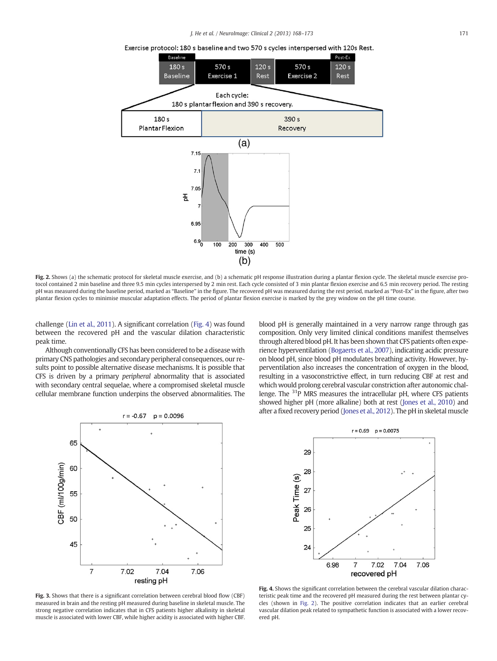Exercise protocol: 180 s baseline and two 570 s cycles interspersed with 120s Rest.

<span id="page-3-0"></span>

Fig. 2. Shows (a) the schematic protocol for skeletal muscle exercise, and (b) a schematic pH response illustration during a plantar flexion cycle. The skeletal muscle exercise protocol contained 2 min baseline and three 9.5 min cycles interspersed by 2 min rest. Each cycle consisted of 3 min plantar flexion exercise and 6.5 min recovery period. The resting pH was measured during the baseline period, marked as "Baseline" in the figure. The recovered pH was measured during the rest period, marked as "Post-Ex" in the figure, after two plantar flexion cycles to minimise muscular adaptation effects. The period of plantar flexion exercise is marked by the grey window on the pH time course.

challenge [\(Lin et al., 2011\)](#page-5-0). A significant correlation (Fig. 4) was found between the recovered pH and the vascular dilation characteristic peak time.

Although conventionally CFS has been considered to be a disease with primary CNS pathologies and secondary peripheral consequences, our results point to possible alternative disease mechanisms. It is possible that CFS is driven by a primary peripheral abnormality that is associated with secondary central sequelae, where a compromised skeletal muscle cellular membrane function underpins the observed abnormalities. The blood pH is generally maintained in a very narrow range through gas composition. Only very limited clinical conditions manifest themselves through altered blood pH. It has been shown that CFS patients often experience hyperventilation [\(Bogaerts et al., 2007](#page-4-0)), indicating acidic pressure on blood pH, since blood pH modulates breathing activity. However, hyperventilation also increases the concentration of oxygen in the blood, resulting in a vasoconstrictive effect, in turn reducing CBF at rest and which would prolong cerebral vascular constriction after autonomic challenge. The <sup>31</sup>P MRS measures the intracellular pH, where CFS patients showed higher pH (more alkaline) both at rest ([Jones et al., 2010](#page-5-0)) and after a fixed recovery period ([Jones et al., 2012\)](#page-5-0). The pH in skeletal muscle



 $r = 0.69$   $p = 0.0075$ 29 28 Peak Time (s) 27 26 25  $24$ 6.98 7.02 7.04 7.06  $\overline{7}$ recovered pH

Fig. 3. Shows that there is a significant correlation between cerebral blood flow (CBF) measured in brain and the resting pH measured during baseline in skeletal muscle. The strong negative correlation indicates that in CFS patients higher alkalinity in skeletal muscle is associated with lower CBF, while higher acidity is associated with higher CBF.

Fig. 4. Shows the significant correlation between the cerebral vascular dilation characteristic peak time and the recovered pH measured during the rest between plantar cycles (shown in Fig. 2). The positive correlation indicates that an earlier cerebral vascular dilation peak related to sympathetic function is associated with a lower recovered pH.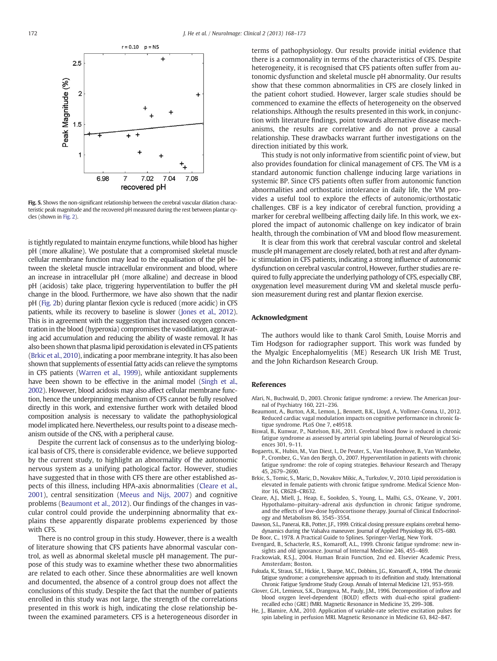<span id="page-4-0"></span>

Fig. 5. Shows the non-significant relationship between the cerebral vascular dilation characteristic peak magnitude and the recovered pH measured during the rest between plantar cycles (shown in [Fig. 2\)](#page-3-0).

is tightly regulated to maintain enzyme functions, while blood has higher pH (more alkaline). We postulate that a compromised skeletal muscle cellular membrane function may lead to the equalisation of the pH between the skeletal muscle intracellular environment and blood, where an increase in intracellular pH (more alkaline) and decrease in blood pH (acidosis) take place, triggering hyperventilation to buffer the pH change in the blood. Furthermore, we have also shown that the nadir pH ([Fig. 2b](#page-3-0)) during plantar flexion cycle is reduced (more acidic) in CFS patients, while its recovery to baseline is slower [\(Jones et al., 2012\)](#page-5-0). This is in agreement with the suggestion that increased oxygen concentration in the blood (hyperoxia) compromises the vasodilation, aggravating acid accumulation and reducing the ability of waste removal. It has also been shown that plasma lipid peroxidation is elevated in CFS patients (Brkic et al., 2010), indicating a poor membrane integrity. It has also been shown that supplements of essential fatty acids can relieve the symptoms in CFS patients ([Warren et al., 1999](#page-5-0)), while antioxidant supplements have been shown to be effective in the animal model [\(Singh et al.,](#page-5-0) [2002](#page-5-0)). However, blood acidosis may also affect cellular membrane function, hence the underpinning mechanism of CFS cannot be fully resolved directly in this work, and extensive further work with detailed blood composition analysis is necessary to validate the pathophysiological model implicated here. Nevertheless, our results point to a disease mechanism outside of the CNS, with a peripheral cause.

Despite the current lack of consensus as to the underlying biological basis of CFS, there is considerable evidence, we believe supported by the current study, to highlight an abnormality of the autonomic nervous system as a unifying pathological factor. However, studies have suggested that in those with CFS there are other established aspects of this illness, including HPA-axis abnormalities (Cleare et al., 2001), central sensitization [\(Meeus and Nijs, 2007\)](#page-5-0) and cognitive problems (Beaumont et al., 2012). Our findings of the changes in vascular control could provide the underpinning abnormality that explains these apparently disparate problems experienced by those with CFS.

There is no control group in this study. However, there is a wealth of literature showing that CFS patients have abnormal vascular control, as well as abnormal skeletal muscle pH management. The purpose of this study was to examine whether these two abnormalities are related to each other. Since these abnormalities are well known and documented, the absence of a control group does not affect the conclusions of this study. Despite the fact that the number of patients enrolled in this study was not large, the strength of the correlations presented in this work is high, indicating the close relationship between the examined parameters. CFS is a heterogeneous disorder in terms of pathophysiology. Our results provide initial evidence that there is a commonality in terms of the characteristics of CFS. Despite heterogeneity, it is recognised that CFS patients often suffer from autonomic dysfunction and skeletal muscle pH abnormality. Our results show that these common abnormalities in CFS are closely linked in the patient cohort studied. However, larger scale studies should be commenced to examine the effects of heterogeneity on the observed relationships. Although the results presented in this work, in conjunction with literature findings, point towards alternative disease mechanisms, the results are correlative and do not prove a causal relationship. These drawbacks warrant further investigations on the direction initiated by this work.

This study is not only informative from scientific point of view, but also provides foundation for clinical management of CFS. The VM is a standard autonomic function challenge inducing large variations in systemic BP. Since CFS patients often suffer from autonomic function abnormalities and orthostatic intolerance in daily life, the VM provides a useful tool to explore the effects of autonomic/orthostatic challenges. CBF is a key indicator of cerebral function, providing a marker for cerebral wellbeing affecting daily life. In this work, we explored the impact of autonomic challenge on key indicator of brain health, through the combination of VM and blood flow measurement.

It is clear from this work that cerebral vascular control and skeletal muscle pH management are closely related, both at rest and after dynamic stimulation in CFS patients, indicating a strong influence of autonomic dysfunction on cerebral vascular control, However, further studies are required to fully appreciate the underlying pathology of CFS, especially CBF, oxygenation level measurement during VM and skeletal muscle perfusion measurement during rest and plantar flexion exercise.

# Acknowledgment

The authors would like to thank Carol Smith, Louise Morris and Tim Hodgson for radiographer support. This work was funded by the Myalgic Encephalomyelitis (ME) Research UK Irish ME Trust, and the John Richardson Research Group.

# References

- Afari, N., Buchwald, D., 2003. Chronic fatigue syndrome: a review. The American Journal of Psychiatry 160, 221–236.
- Beaumont, A., Burton, A.R., Lemon, J., Bennett, B.K., Lloyd, A., Vollmer-Conna, U., 2012. Reduced cardiac vagal modulation impacts on cognitive performance in chronic fatigue syndrome. PLoS One 7, e49518.
- Biswal, B., Kunwar, P., Natelson, B.H., 2011. Cerebral blood flow is reduced in chronic fatigue syndrome as assessed by arterial spin labeling. Journal of Neurological Sciences 301, 9–11.
- Bogaerts, K., Hubin, M., Van Diest, I., De Peuter, S., Van Houdenhove, B., Van Wambeke, P., Crombez, G., Van den Bergh, O., 2007. Hyperventilation in patients with chronic fatigue syndrome: the role of coping strategies. Behaviour Research and Therapy 45, 2679–2690.
- Brkic, S., Tomic, S., Maric, D., Novakov Mikic, A., Turkulov, V., 2010. Lipid peroxidation is elevated in female patients with chronic fatigue syndrome. Medical Science Monitor 16, CR628–CR632.
- Cleare, A.J., Miell, J., Heap, E., Sookdeo, S., Young, L., Malhi, G.S., O'Keane, V., 2001. Hypothalamo–pituitary–adrenal axis dysfunction in chronic fatigue syndrome, and the effects of low-dose hydrocortisone therapy. Journal of Clinical Endocrinology and Metabolism 86, 3545–3554.
- Dawson, S.L., Panerai, R.B., Potter, J.F., 1999. Critical closing pressure explains cerebral hemodynamics during the Valsalva maneuver. Journal of Applied Physiology 86, 675–680.

De Boor, C., 1978. A Practical Guide to Splines. Springer-Verlag, New York. Evengard, B., Schacterle, R.S., Komaroff, A.L., 1999. Chronic fatigue syndrome: new in-

- sights and old ignorance. Journal of Internal Medicine 246, 455–469. Frackowiak, R.S.J., 2004. Human Brain Function, 2nd ed. Elsevier Academic Press,
- Amsterdam; Boston. Fukuda, K., Straus, S.E., Hickie, I., Sharpe, M.C., Dobbins, J.G., Komaroff, A., 1994. The chronic
- fatigue syndrome: a comprehensive approach to its definition and study. International Chronic Fatigue Syndrome Study Group. Annals of Internal Medicine 121, 953–959. Glover, G.H., Lemieux, S.K., Drangova, M., Pauly, J.M., 1996. Decomposition of inflow and
- blood oxygen level-dependent (BOLD) effects with dual-echo spiral gradientrecalled echo (GRE) fMRI. Magnetic Resonance in Medicine 35, 299–308.
- He, J., Blamire, A.M., 2010. Application of variable-rate selective excitation pulses for spin labeling in perfusion MRI. Magnetic Resonance in Medicine 63, 842–847.